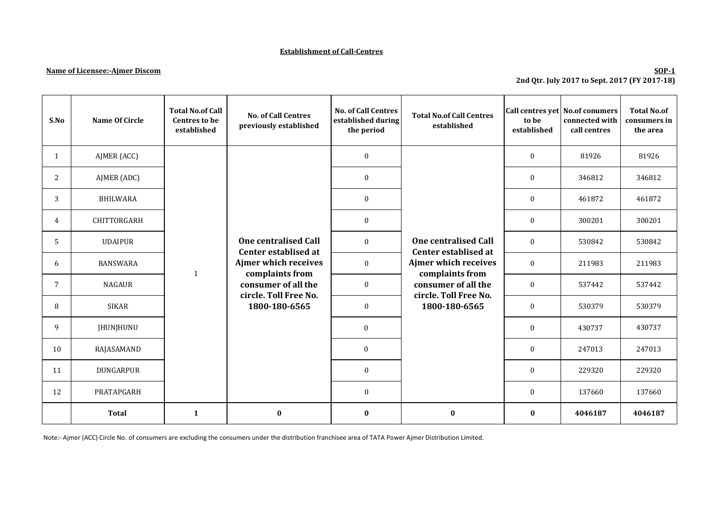## **Establishment of Call-Centres**

## **Name of Licensee:-Ajmer Discom**

## **SOP-1 2nd Qtr. July 2017 to Sept. 2017 (FY 2017-18)**

| S.No         | <b>Name Of Circle</b> | <b>Total No.of Call</b><br><b>Centres to be</b><br>established | <b>No. of Call Centres</b><br>previously established          | <b>No. of Call Centres</b><br>established during<br>the period | <b>Total No.of Call Centres</b><br>established                                                                                                                         | to be<br>established | Call centres yet No.of conumers<br>connected with<br>call centres | <b>Total No.of</b><br>consumers in<br>the area |
|--------------|-----------------------|----------------------------------------------------------------|---------------------------------------------------------------|----------------------------------------------------------------|------------------------------------------------------------------------------------------------------------------------------------------------------------------------|----------------------|-------------------------------------------------------------------|------------------------------------------------|
| $\mathbf{1}$ | AJMER (ACC)           |                                                                | <b>One centralised Call</b><br>Center establised at           | $\bf{0}$                                                       | <b>One centralised Call</b><br>Center establised at<br><b>Ajmer which receives</b><br>complaints from<br>consumer of all the<br>circle. Toll Free No.<br>1800-180-6565 | $\mathbf{0}$         | 81926                                                             | 81926                                          |
| 2            | AJMER (ADC)           |                                                                |                                                               | $\bf{0}$                                                       |                                                                                                                                                                        | $\bf{0}$             | 346812                                                            | 346812                                         |
| 3            | <b>BHILWARA</b>       |                                                                |                                                               | $\mathbf{0}$                                                   |                                                                                                                                                                        | $\mathbf{0}$         | 461872                                                            | 461872                                         |
| 4            | CHITTORGARH           |                                                                |                                                               | $\bf{0}$                                                       |                                                                                                                                                                        | $\bf{0}$             | 300201                                                            | 300201                                         |
| 5            | <b>UDAIPUR</b>        |                                                                |                                                               | $\mathbf{0}$                                                   |                                                                                                                                                                        | $\mathbf{0}$         | 530842                                                            | 530842                                         |
| 6            | <b>BANSWARA</b>       | $\mathbf{1}$                                                   | Ajmer which receives<br>complaints from                       | $\bf{0}$                                                       |                                                                                                                                                                        | $\mathbf{0}$         | 211983                                                            | 211983                                         |
| 7            | <b>NAGAUR</b>         |                                                                | consumer of all the<br>circle. Toll Free No.<br>1800-180-6565 | $\boldsymbol{0}$                                               |                                                                                                                                                                        | $\mathbf{0}$         | 537442                                                            | 537442                                         |
| 8            | <b>SIKAR</b>          |                                                                |                                                               | $\bf{0}$                                                       |                                                                                                                                                                        | $\mathbf{0}$         | 530379                                                            | 530379                                         |
| 9            | <b>JHUNJHUNU</b>      |                                                                |                                                               | $\boldsymbol{0}$                                               |                                                                                                                                                                        | $\mathbf{0}$         | 430737<br>247013                                                  | 430737                                         |
| 10           | RAJASAMAND            |                                                                |                                                               | $\boldsymbol{0}$                                               |                                                                                                                                                                        | $\bf{0}$             |                                                                   | 247013                                         |
| 11           | DUNGARPUR             |                                                                |                                                               | $\bf{0}$                                                       |                                                                                                                                                                        | $\mathbf{0}$         | 229320                                                            | 229320                                         |
| 12           | PRATAPGARH            |                                                                |                                                               | $\boldsymbol{0}$                                               |                                                                                                                                                                        | $\boldsymbol{0}$     | 137660                                                            | 137660                                         |
|              | <b>Total</b>          | $\mathbf{1}$                                                   | $\bf{0}$                                                      | $\bf{0}$                                                       | $\boldsymbol{0}$                                                                                                                                                       | $\bf{0}$             | 4046187                                                           | 4046187                                        |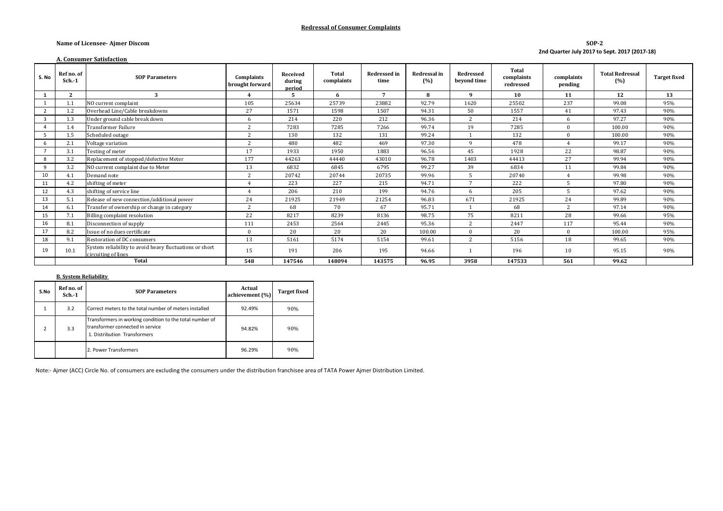#### **Redressal of Consumer Complaints**

#### **Name of Licensee- Ajmer Discom**

**SOP-2 2nd Quarter July 2017 to Sept. 2017 (2017-18)**

|       | <b>A. Consumer Satisfaction</b> |                                                                                |                               |                              |                            |                             |                     |                          |                                  |                       |                               |                     |
|-------|---------------------------------|--------------------------------------------------------------------------------|-------------------------------|------------------------------|----------------------------|-----------------------------|---------------------|--------------------------|----------------------------------|-----------------------|-------------------------------|---------------------|
| S. No | Ref no. of<br>$Sch.-1$          | <b>SOP Parameters</b>                                                          | Complaints<br>brought forward | Received<br>during<br>period | <b>Total</b><br>complaints | <b>Redressed in</b><br>time | Redressal in<br>(%) | Redressed<br>beyond time | Total<br>complaints<br>redressed | complaints<br>pending | <b>Total Redressal</b><br>(%) | <b>Target fixed</b> |
|       | 2                               | 3                                                                              | $\overline{4}$                | 5                            | 6                          | $\overline{7}$              | 8                   | 9                        | 10                               | 11                    | 12                            | 13                  |
|       |                                 | NO current complaint                                                           | 105                           | 25634                        | 25739                      | 23882                       | 92.79               | 1620                     | 25502                            | 237                   | 99.08                         | 95%                 |
|       | 1.2                             | Overhead Line/Cable breakdowns                                                 | 27                            | 1571                         | 1598                       | 1507                        | 94.31               | 50                       | 1557                             | 41                    | 97.43                         | 90%                 |
| 3     | 1.3                             | Under ground cable break down                                                  | 6                             | 214                          | 220                        | 212                         | 96.36               | $\overline{2}$           | 214                              | 6                     | 97.27                         | 90%                 |
|       | 1.4                             | <b>Transformer Failure</b>                                                     | $\overline{2}$                | 7283                         | 7285                       | 7266                        | 99.74               | 19                       | 7285                             | $\Omega$              | 100.00                        | 90%                 |
| 5.    | 1.5                             | Scheduled outage                                                               | 2                             | 130                          | 132                        | 131                         | 99.24               |                          | 132                              | $\Omega$              | 100.00                        | 90%                 |
|       | 2.1                             | Voltage variation                                                              | 2                             | 480                          | 482                        | 469                         | 97.30               | 9                        | 478                              |                       | 99.17                         | 90%                 |
|       | 3.1                             | Testing of meter                                                               | 17                            | 1933                         | 1950                       | 1883                        | 96.56               | 45                       | 1928                             | 22                    | 98.87                         | 90%                 |
| 8     | 3.2                             | Replacement of stopped/defective Meter                                         | 177                           | 44263                        | 44440                      | 43010                       | 96.78               | 1403                     | 44413                            | 27                    | 99.94                         | 90%                 |
| 9     | 3.2                             | NO current complaint due to Meter                                              | 13                            | 6832                         | 6845                       | 6795                        | 99.27               | 39                       | 6834                             | 11                    | 99.84                         | 90%                 |
| 10    |                                 | Demand note                                                                    | 2                             | 20742                        | 20744                      | 20735                       | 99.96               | 5                        | 20740                            |                       | 99.98                         | 90%                 |
| 11    | 4.2                             | shifting of meter                                                              | $\overline{4}$                | 223                          | 227                        | 215                         | 94.71               | $\overline{7}$           | 222                              | 5                     | 97.80                         | 90%                 |
| 12    | 4.3                             | shifting of service line                                                       | $\boldsymbol{\Lambda}$        | 206                          | 210                        | 199                         | 94.76               | 6                        | 205                              | 5                     | 97.62                         | 90%                 |
| 13    | 5.1                             | Release of new connection/additional power                                     | 24                            | 21925                        | 21949                      | 21254                       | 96.83               | 671                      | 21925                            | 24                    | 99.89                         | 90%                 |
| 14    | 6.1                             | Transfer of ownership or change in category                                    | 2                             | 68                           | 70                         | 67                          | 95.71               |                          | 68                               | $\overline{2}$        | 97.14                         | 90%                 |
| 15    |                                 | Billing complaint resolution                                                   | 22                            | 8217                         | 8239                       | 8136                        | 98.75               | 75                       | 8211                             | 28                    | 99.66                         | 95%                 |
| 16    | 8.1                             | Disconnection of supply                                                        | 111                           | 2453                         | 2564                       | 2445                        | 95.36               | 2                        | 2447                             | 117                   | 95.44                         | 90%                 |
| 17    | 8.2                             | Issue of no dues certificate                                                   | $\mathbf{0}$                  | 20                           | 20                         | 20                          | 100.00              | $\Omega$                 | 20                               | $\Omega$              | 100.00                        | 95%                 |
| 18    | 9.1                             | Restoration of DC consumers                                                    | 13                            | 5161                         | 5174                       | 5154                        | 99.61               | $\overline{2}$           | 5156                             | 18                    | 99.65                         | 90%                 |
| 19    | 10.1                            | System reliability to avoid heavy fluctuations or short<br>circuiting of lines | 15                            | 191                          | 206                        | 195                         | 94.66               |                          | 196                              | 10                    | 95.15                         | 90%                 |
|       |                                 | Total                                                                          | 548                           | 147546                       | 148094                     | 143575                      | 96.95               | 3958                     | 147533                           | 561                   | 99.62                         |                     |

#### **B. System Reliability**

| S.No           | Ref no. of<br>$Sch.-1$ | <b>SOP Parameters</b>                                                                                                        | Actual<br>achievement (%) | <b>Target fixed</b> |
|----------------|------------------------|------------------------------------------------------------------------------------------------------------------------------|---------------------------|---------------------|
| 1              | 3.2                    | Correct meters to the total number of meters installed                                                                       | 92.49%                    | 90%                 |
| $\overline{2}$ | 3.3                    | Transformers in working condition to the total number of<br>transformer connected in service<br>1. Distribution Transformers | 94.82%                    | 90%                 |
|                |                        | 2. Power Transformers                                                                                                        | 96.29%                    | 90%                 |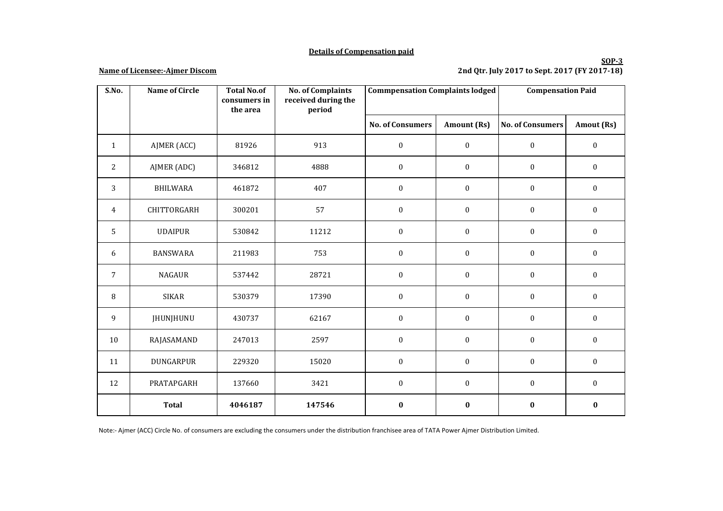## **Details of Compensation paid**

#### **Name of Licensee:-Ajmer Discom**

## **SOP-3 2nd Qtr. July 2017 to Sept. 2017 (FY 2017-18)**

| S.No.          | <b>Name of Circle</b> | <b>Total No.of</b><br>consumers in | <b>No. of Complaints</b><br>received during the | <b>Commpensation Complaints lodged</b> |                  | <b>Compensation Paid</b> |                  |
|----------------|-----------------------|------------------------------------|-------------------------------------------------|----------------------------------------|------------------|--------------------------|------------------|
|                |                       | the area                           | period                                          |                                        |                  |                          |                  |
|                |                       |                                    |                                                 | <b>No. of Consumers</b>                | Amount (Rs)      | <b>No. of Consumers</b>  | Amout (Rs)       |
| $\mathbf{1}$   | AJMER (ACC)           | 81926                              | 913                                             | $\boldsymbol{0}$                       | $\boldsymbol{0}$ | $\boldsymbol{0}$         | $\boldsymbol{0}$ |
| $\overline{2}$ | AJMER (ADC)           | 346812                             | 4888                                            | $\boldsymbol{0}$                       | $\boldsymbol{0}$ | $\boldsymbol{0}$         | $\boldsymbol{0}$ |
| 3              | <b>BHILWARA</b>       | 461872                             | 407                                             | $\mathbf{0}$                           | $\boldsymbol{0}$ | $\mathbf{0}$             | $\boldsymbol{0}$ |
| 4              | CHITTORGARH           | 300201                             | 57                                              | $\boldsymbol{0}$                       | $\boldsymbol{0}$ | $\boldsymbol{0}$         | $\boldsymbol{0}$ |
| 5              | <b>UDAIPUR</b>        | 530842                             | 11212                                           | $\boldsymbol{0}$                       | $\boldsymbol{0}$ | $\boldsymbol{0}$         | $\boldsymbol{0}$ |
| 6              | <b>BANSWARA</b>       | 211983                             | 753                                             | $\boldsymbol{0}$                       | $\boldsymbol{0}$ | $\boldsymbol{0}$         | $\boldsymbol{0}$ |
| $\overline{7}$ | <b>NAGAUR</b>         | 537442                             | 28721                                           | $\mathbf{0}$                           | $\boldsymbol{0}$ | $\mathbf{0}$             | $\boldsymbol{0}$ |
| 8              | <b>SIKAR</b>          | 530379                             | 17390                                           | $\boldsymbol{0}$                       | $\boldsymbol{0}$ | $\mathbf{0}$             | $\boldsymbol{0}$ |
| 9              | <b>JHUNJHUNU</b>      | 430737                             | 62167                                           | $\boldsymbol{0}$                       | $\boldsymbol{0}$ | $\boldsymbol{0}$         | $\boldsymbol{0}$ |
| 10             | RAJASAMAND            | 247013                             | 2597                                            | $\boldsymbol{0}$                       | $\boldsymbol{0}$ | $\boldsymbol{0}$         | $\boldsymbol{0}$ |
| 11             | DUNGARPUR             | 229320                             | 15020                                           | $\boldsymbol{0}$                       | $\boldsymbol{0}$ | $\boldsymbol{0}$         | $\boldsymbol{0}$ |
| 12             | PRATAPGARH            | 137660                             | 3421                                            | $\boldsymbol{0}$                       | $\boldsymbol{0}$ | $\boldsymbol{0}$         | $\boldsymbol{0}$ |
|                | <b>Total</b>          | 4046187                            | 147546                                          | $\bf{0}$                               | $\pmb{0}$        | $\bf{0}$                 | $\pmb{0}$        |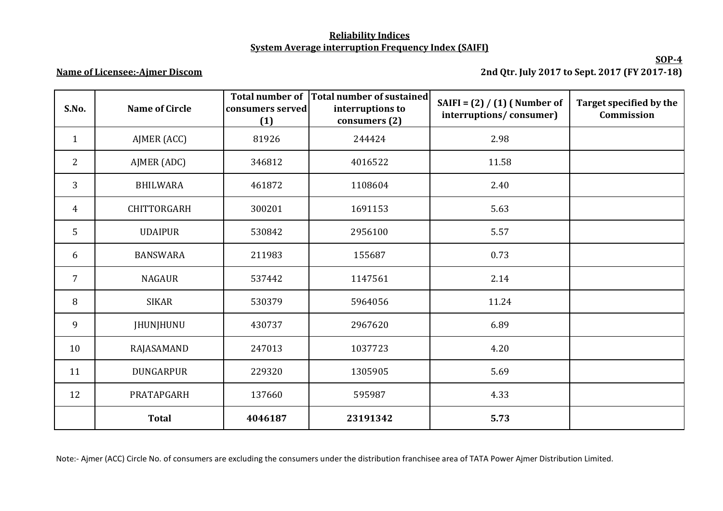# **Reliability Indices System Average interruption Frequency Index (SAIFI)**

# **Name of Licensee:-Ajmer Discom**

**SOP-4 2nd Qtr. July 2017 to Sept. 2017 (FY 2017-18)**

| S.No.          | <b>Name of Circle</b> | <b>Total number of</b><br>consumers served<br>(1) | Total number of sustained<br>interruptions to<br>consumers (2) | SAIFI = $(2) / (1)$ (Number of<br>interruptions/consumer) | Target specified by the<br>Commission |
|----------------|-----------------------|---------------------------------------------------|----------------------------------------------------------------|-----------------------------------------------------------|---------------------------------------|
| $\mathbf{1}$   | AJMER (ACC)           | 81926                                             | 244424                                                         | 2.98                                                      |                                       |
| $\overline{2}$ | AJMER (ADC)           | 346812                                            | 4016522                                                        | 11.58                                                     |                                       |
| 3              | <b>BHILWARA</b>       | 461872                                            | 1108604                                                        | 2.40                                                      |                                       |
| $\overline{4}$ | CHITTORGARH           | 300201                                            | 1691153                                                        | 5.63                                                      |                                       |
| 5              | <b>UDAIPUR</b>        | 530842                                            | 2956100                                                        | 5.57                                                      |                                       |
| 6              | <b>BANSWARA</b>       | 211983                                            | 155687                                                         | 0.73                                                      |                                       |
| $\overline{7}$ | <b>NAGAUR</b>         | 537442                                            | 1147561                                                        | 2.14                                                      |                                       |
| 8              | <b>SIKAR</b>          | 530379                                            | 5964056                                                        | 11.24                                                     |                                       |
| 9              | JHUNJHUNU             | 430737                                            | 2967620                                                        | 6.89                                                      |                                       |
| 10             | RAJASAMAND            | 247013                                            | 1037723                                                        | 4.20                                                      |                                       |
| 11             | <b>DUNGARPUR</b>      | 229320                                            | 1305905                                                        | 5.69                                                      |                                       |
| 12             | PRATAPGARH            | 137660                                            | 595987                                                         | 4.33                                                      |                                       |
|                | <b>Total</b>          | 4046187                                           | 23191342                                                       | 5.73                                                      |                                       |